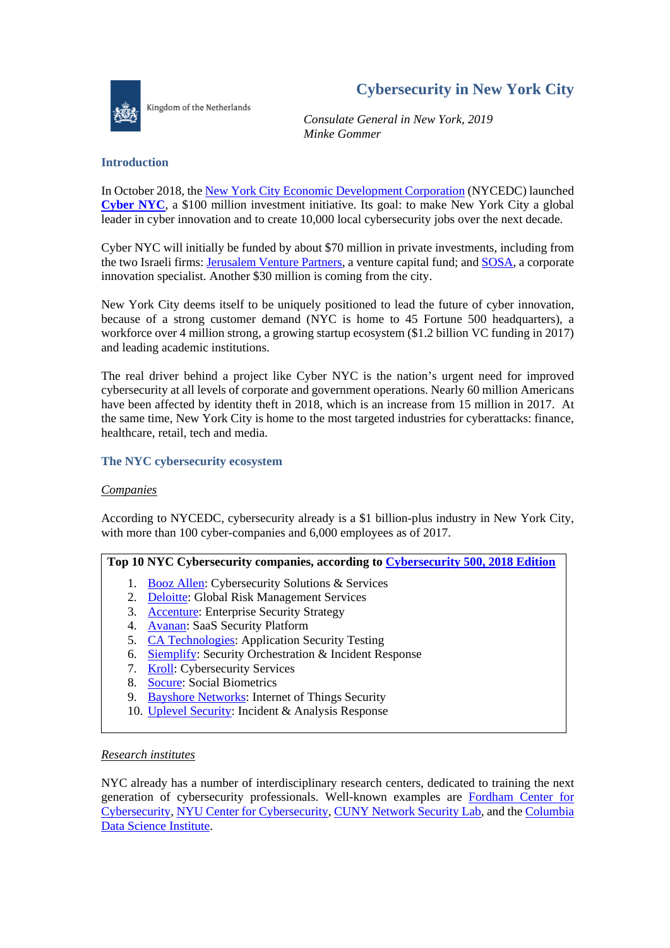

Kingdom of the Netherlands

# **Cybersecurity in New York City**

*Consulate General in New York, 2019 Minke Gommer*

# **Introduction**

In October 2018, the [New York City Economic Development Corporation](https://www.nycedc.com/) (NYCEDC) launched **[Cyber NYC](https://www.cyber-nyc.com/)**, a \$100 million investment initiative. Its goal: to make New York City a global leader in cyber innovation and to create 10,000 local cybersecurity jobs over the next decade.

Cyber NYC will initially be funded by about \$70 million in private investments, including from the two Israeli firms[: Jerusalem Venture Partners,](https://www.jvpvc.com/) a venture capital fund; and [SOSA,](https://sosa.co/locations/sosa-nyc/) a corporate innovation specialist. Another \$30 million is coming from the city.

New York City deems itself to be uniquely positioned to lead the future of cyber innovation, because of a strong customer demand (NYC is home to 45 Fortune 500 headquarters), a workforce over 4 million strong, a growing startup ecosystem (\$1.2 billion VC funding in 2017) and leading academic institutions.

The real driver behind a project like Cyber NYC is the nation's urgent need for improved cybersecurity at all levels of corporate and government operations. Nearly 60 million Americans have been affected by identity theft in 2018, which is an increase from 15 million in 2017. At the same time, New York City is home to the most targeted industries for cyberattacks: finance, healthcare, retail, tech and media.

# **The NYC cybersecurity ecosystem**

# *Companies*

According to NYCEDC, cybersecurity already is a \$1 billion-plus industry in New York City, with more than 100 cyber-companies and 6,000 employees as of 2017.

# **Top 10 NYC Cybersecurity companies, according to [Cybersecurity 500, 2018 Edition](https://cybersecurityventures.com/cybersecurity-500-list/)**

- 1. [Booz Allen:](https://www.boozallen.com/) Cybersecurity Solutions & Services
- 2. [Deloitte:](https://www2.deloitte.com/us/en/pages/about-deloitte/articles/look-again-at-deloitte.html?id=us:2ps:3gl::eng::90118:nonem:na:EMTKvNfW:1078707894:313607317389:e:Brand_Building:Brand_General_Exact:br) Global Risk Management Services
- 3. [Accenture:](https://www.accenture.com/us-en?c=us_us_brand_10460943&n=psgs_brand_1218&c=ad_usadfy17_10000001&n=psgs_Brand-|-US-|-Exact_accenture&gclid=Cj0KCQiA7briBRD7ARIsABhX8aAi9ZkUWsH-37QcZg1lR725wJZOrhd7FT3ILRT0jgCYAzS0XwUBRP8aAnBgEALw_wcB) Enterprise Security Strategy
- 4. [Avanan:](https://www.avanan.com/) SaaS Security Platform
- 5. [CA Technologies:](https://www.ca.com/us.html) Application Security Testing
- 6. [Siemplify:](https://www.siemplify.co/) Security Orchestration & Incident Response
- 7. [Kroll:](https://www.kroll.com/en) Cybersecurity Services
- 8. [Socure:](https://www.socure.com/) Social Biometrics
- 9. [Bayshore Networks:](https://www.bayshorenetworks.com/) Internet of Things Security
- 10. [Uplevel Security:](https://www.uplevelsecurity.com/) Incident & Analysis Response

# *Research institutes*

NYC already has a number of interdisciplinary research centers, dedicated to training the next generation of cybersecurity professionals. Well-known examples are [Fordham Center for](https://www.fordham.edu/info/26491/fordham_center_for_cybersecurity)  [Cybersecurity,](https://www.fordham.edu/info/26491/fordham_center_for_cybersecurity) [NYU Center for Cybersecurity,](http://cyber.nyu.edu/) [CUNY Network Security Lab,](https://www.ccny.cuny.edu/cint/cybersecurity) and the [Columbia](https://datascience.columbia.edu/cybersecurity)  [Data Science Institute.](https://datascience.columbia.edu/cybersecurity)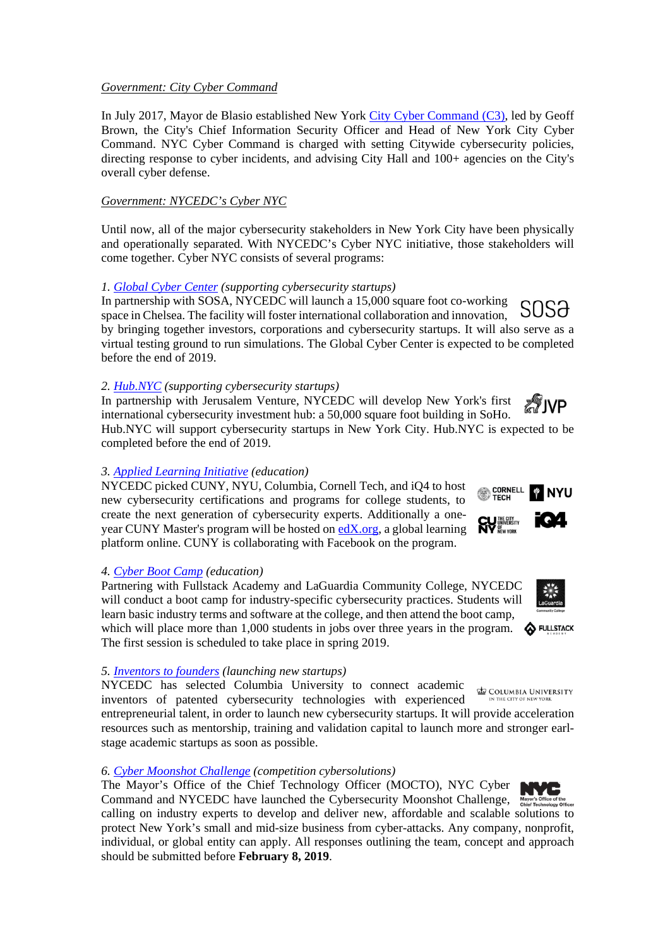#### *Government: City Cyber Command*

In July 2017, Mayor de Blasio established New York [City Cyber Command](https://www1.nyc.gov/site/cyber/index.page) (C3), led by Geoff Brown, the City's Chief Information Security Officer and Head of New York City Cyber Command. NYC Cyber Command is charged with setting Citywide cybersecurity policies, directing response to cyber incidents, and advising City Hall and 100+ agencies on the City's overall cyber defense.

#### *Government: NYCEDC's Cyber NYC*

Until now, all of the major cybersecurity stakeholders in New York City have been physically and operationally separated. With NYCEDC's Cyber NYC initiative, those stakeholders will come together. Cyber NYC consists of several programs:

#### *1. [Global Cyber Center](https://sosa.co/industry-expertise/cyber/) (supporting cybersecurity startups)*

In partnership with SOSA, NYCEDC will launch a 15,000 square foot co-working space in Chelsea. The facility will foster international collaboration and innovation, by bringing together investors, corporations and cybersecurity startups. It will also serve as a virtual testing ground to run simulations. The Global Cyber Center is expected to be completed before the end of 2019.

#### *2. [Hub.NYC](http://hub.nyc/) (supporting cybersecurity startups)*

In partnership with Jerusalem Venture, NYCEDC will develop New York's first ∕∜NP international cybersecurity investment hub: a 50,000 square foot building in SoHo. Hub.NYC will support cybersecurity startups in New York City. Hub.NYC is expected to be completed before the end of 2019.

#### *3. [Applied Learning Initiative](http://www1.cuny.edu/mu/forum/2018/10/02/cuny-among-prime-partners-of-cyber-nyc-initiative-pairing-colleges-with-industry-to-create-major-hub-of-learning-innovation-in-emerging-field/) (education)*

NYCEDC picked CUNY, NYU, Columbia, Cornell Tech, and iQ4 to host new cybersecurity certifications and programs for college students, to create the next generation of cybersecurity experts. Additionally a oneyear CUNY Master's program will be hosted on [edX.org,](https://www.edx.org/) a global learning platform online. CUNY is collaborating with Facebook on the program.

# *4. [Cyber Boot Camp](file://bz.ad.minbuza.local/Data/users/gommer.minke/My%20Documents/Cybersecurity/Cyber%20Boot%20Camp) (education)*

Partnering with Fullstack Academy and LaGuardia Community College, NYCEDC will conduct a boot camp for industry-specific cybersecurity practices. Students will learn basic industry terms and software at the college, and then attend the boot camp, which will place more than 1,000 students in jobs over three years in the program.

**S** FULLSTACK The first session is scheduled to take place in spring 2019.

# *5. [Inventors to founders](https://www.cyber-nyc.com/clkn/https/techventures.columbia.edu/) (launching new startups)*

NYCEDC has selected Columbia University to connect academic inventors of patented cybersecurity technologies with experienced

entrepreneurial talent, in order to launch new cybersecurity startups. It will provide acceleration resources such as mentorship, training and validation capital to launch more and stronger earlstage academic startups as soon as possible.

# *6. [Cyber Moonshot Challenge](https://tech.cityofnewyork.us/projects/nycx-cybersecurity-moonshot-challenge/) (competition cybersolutions)*

The Mayor's Office of the Chief Technology Officer (MOCTO), NYC Cyber Command and NYCEDC have launched the Cybersecurity Moonshot Challenge, Mayon calling on industry experts to develop and deliver new, affordable and scalable solutions to protect New York's small and mid-size business from cyber-attacks. Any company, nonprofit, individual, or global entity can apply. All responses outlining the team, concept and approach should be submitted before **February 8, 2019**.

# CORNELL<br>
TECH







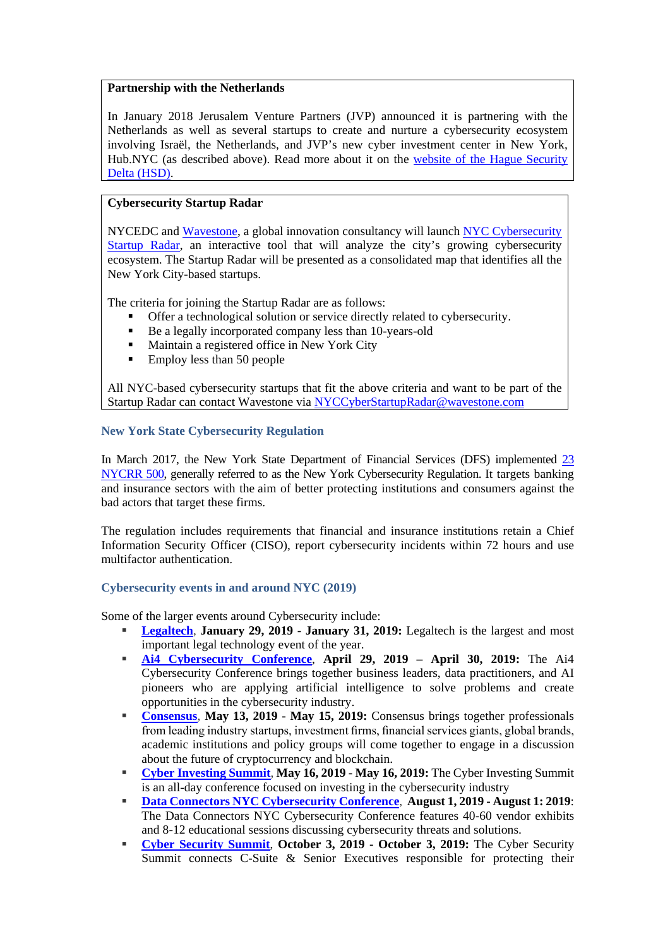# **Partnership with the Netherlands**

In January 2018 Jerusalem Venture Partners (JVP) announced it is partnering with the Netherlands as well as several startups to create and nurture a cybersecurity ecosystem involving Israël, the Netherlands, and JVP's new cyber investment center in New York, Hub.NYC (as described above). Read more about it on the [website of the Hague Security](https://www.thehaguesecuritydelta.com/news/newsitem/1209-israel-nyc-and-the-netherlands-forge-cybersecurity-partnership)  [Delta \(HSD\)](https://www.thehaguesecuritydelta.com/news/newsitem/1209-israel-nyc-and-the-netherlands-forge-cybersecurity-partnership).

# **Cybersecurity Startup Radar**

NYCEDC and [Wavestone,](https://www.wavestone.com/en/) a global innovation consultancy will launch [NYC Cybersecurity](https://www.nycedc.com/system/files/files/program/cybersecurity_startup_radar_1.pdf)  [Startup Radar,](https://www.nycedc.com/system/files/files/program/cybersecurity_startup_radar_1.pdf) an interactive tool that will analyze the city's growing cybersecurity ecosystem. The Startup Radar will be presented as a consolidated map that identifies all the New York City-based startups.

The criteria for joining the Startup Radar are as follows:

- Offer a technological solution or service directly related to cybersecurity.
- Be a legally incorporated company less than 10-years-old
- Maintain a registered office in New York City
- $\blacksquare$  Employ less than 50 people

All NYC-based cybersecurity startups that fit the above criteria and want to be part of the Startup Radar can contact Wavestone via [NYCCyberStartupRadar@wavestone.com](mailto:NYCCyberStartupRadar@wavestone.com)

# **New York State Cybersecurity Regulation**

In March 2017, the New York State Department of Financial Services (DFS) implemented [23](https://www.dfs.ny.gov/legal/regulations/adoptions/dfsrf500txt.pdf)  [NYCRR 500,](https://www.dfs.ny.gov/legal/regulations/adoptions/dfsrf500txt.pdf) generally referred to as the New York Cybersecurity Regulation. It targets banking and insurance sectors with the aim of better protecting institutions and consumers against the bad actors that target these firms.

The regulation includes requirements that financial and insurance institutions retain a Chief Information Security Officer (CISO), report cybersecurity incidents within 72 hours and use multifactor authentication.

# **Cybersecurity events in and around NYC (2019)**

Some of the larger events around Cybersecurity include:

- **[Legaltech](http://www.legalweekshow.com/legaltech/east/)**, **January 29, 2019 - January 31, 2019:** Legaltech is the largest and most important legal technology event of the year.
- **[Ai4 Cybersecurity Conference](https://ai4.io/cybersecurity/)**, **April 29, 2019 – April 30, 2019:** The Ai4 Cybersecurity Conference brings together business leaders, data practitioners, and AI pioneers who are applying artificial intelligence to solve problems and create opportunities in the cybersecurity industry.
- **[Consensus](https://www.coindesk.com/events/consensus-2019)**, **May 13, 2019 - May 15, 2019:** Consensus brings together professionals from leading industry startups, investment firms, financial services giants, global brands, academic institutions and policy groups will come together to engage in a discussion about the future of cryptocurrency and blockchain.
- **[Cyber Investing Summit](https://cyberinvestingsummit.com/)**, **May 16, 2019 - May 16, 2019:** The Cyber Investing Summit is an all-day conference focused on investing in the cybersecurity industry
- **[Data Connectors NYC Cybersecurity Conference](https://dataconnectors.com/events/nyc2019/)**, **August 1, 2019 - August 1: 2019**: The Data Connectors NYC Cybersecurity Conference features 40-60 vendor exhibits and 8-12 educational sessions discussing cybersecurity threats and solutions.
- **[Cyber Security Summit](https://cybersummitusa.com/newyork19/)**, **October 3, 2019 - October 3, 2019:** The Cyber Security Summit connects C-Suite & Senior Executives responsible for protecting their